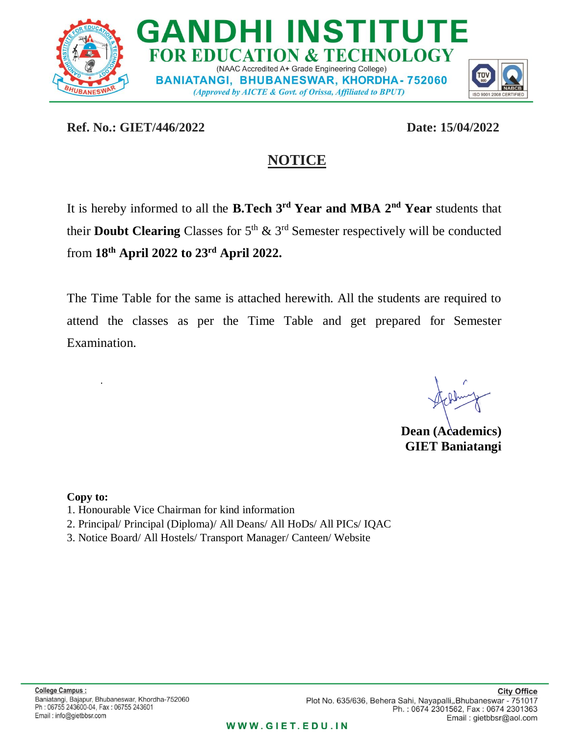

**Ref. No.: GIET/446/2022 Date: 15/04/2022**

## **NOTICE**

It is hereby informed to all the **B.Tech 3 rd Year and MBA 2nd Year** students that their **Doubt Clearing** Classes for  $5<sup>th</sup>$  &  $3<sup>rd</sup>$  Semester respectively will be conducted from **18th April 2022 to 23 rd April 2022.**

The Time Table for the same is attached herewith. All the students are required to attend the classes as per the Time Table and get prepared for Semester Examination.

**Dean (Academics) GIET Baniatangi**

**Copy to:** 

.

- 1. Honourable Vice Chairman for kind information
- 2. Principal/ Principal (Diploma)/ All Deans/ All HoDs/ All PICs/ IQAC
- 3. Notice Board/ All Hostels/ Transport Manager/ Canteen/ Website